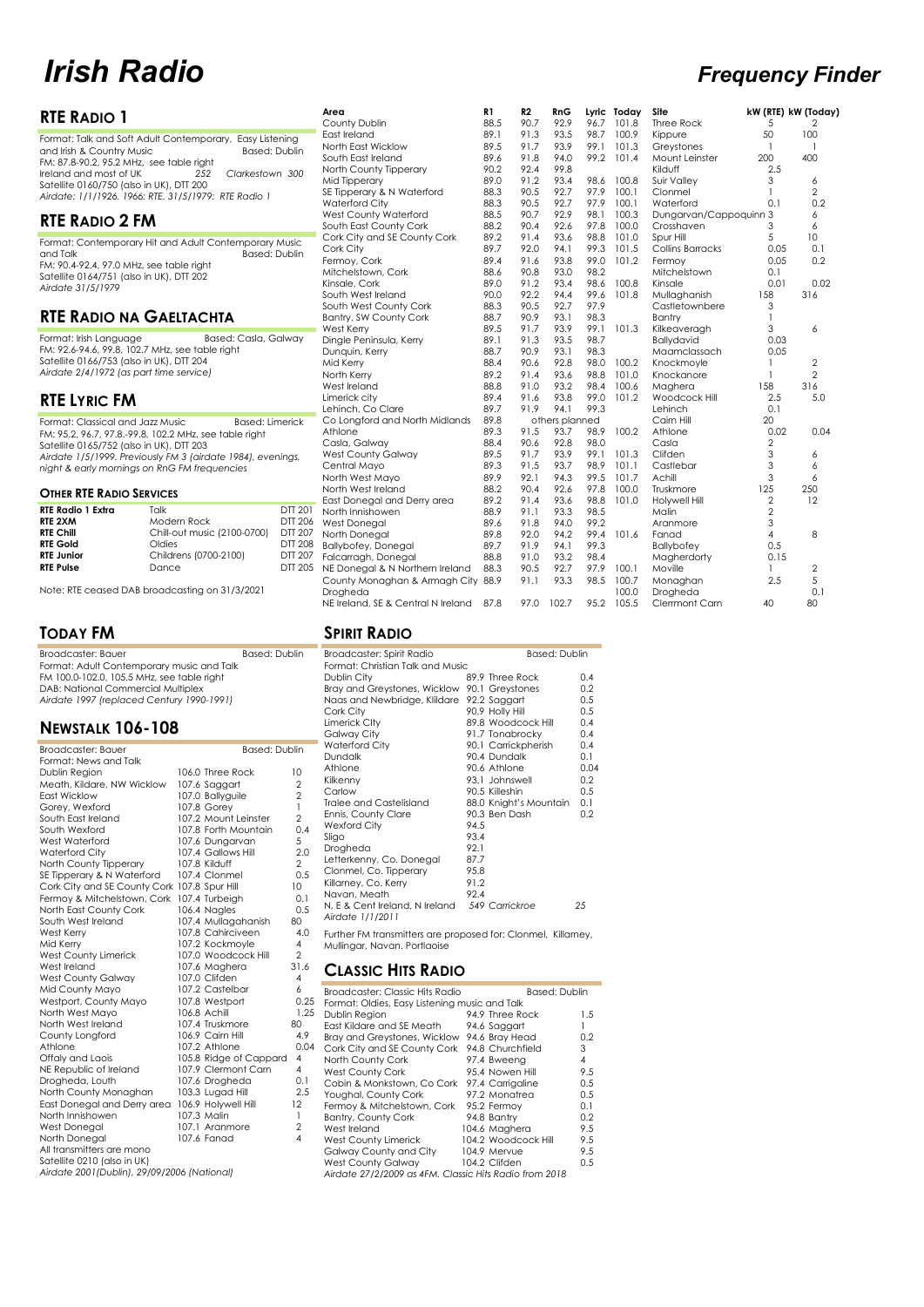#### **RTE RADIO 1** Format: Talk and Soft Adult Contemporary, Easy Listening and Irish & Country Music Based: Dublin<br>FM: 87.8-90.2, 95.2 MHz, see table right Ireland and most of UK *252 Clarkestown 300* Satellite 0160/750 (also in UK), DTT 200 *Airdate: 1/1/1926. 1966: RTE. 31/5/1979: RTE Radio 1* **RTE RADIO 2 FM** Format: Contemporary Hit and Adult Contemporary Music and Talk Based: Dublin FM: 90.4-92.4, 97.0 MHz, see table right Satellite 0164/751 (also in UK), DTT 202 **RTE RADIO NA GAELTACHTA** Format: Irish Language Based: Casla, Galway<br>FM: 92.6-94.6, 99.8, 102.7 MHz, see table right Satellite 0166/753 (also in UK), DTT 204 *Airdate 2/4/1972 (as part time service)* **RTE LYRIC FM** Format: Classical and Jazz Music Based: Limerick FM: 95.2, 96.7, 97.8.-99.8, 102.2 MHz, see table right Satellite 0165/752 (also in UK), DTT 203 *Airdate 1/5/1999. Previously FM 3 (airdate 1984), evenings, night & early mornings on RnG FM frequencies* **OTHER RTE RADIO SERVICES RTE Radio 1 Extra** Talk DTT 201 **RTE 2XM** Modern Rock DTT 206 **RTE Chill** Chill-out music (2100-0700) DTT 207 **RTE Gold Coldies DTT 208**<br> **RTE Junior Childrens (0700-2100) DTT 207 Childrens (0700-2100) DTT 207<br>Dance DTT 205 Area R1 R2 RnG Lyric Today Site kW (RTE) kW (Today)** County Dublin 88.5 90.7 92.9 96.7 101.8 Three Rock 5 2 East Ireland 89.1 91.3 93.5 98.7 100.9 Kippure 50 100 North East Wicklow 89.5 91.7 93.9 99.1 101.3 Greystones 1 1 South East Ireland 89.6 91.8 94.0 99.2 101.4 Mount Leinster 200 400 North County Tipperary 90.2 92.4 99.8 Kilduff 2.5 Mid Tipperary 89.0 91.2 93.4 98.6 100.8 Suir Valley 3 6 SE Tipperary & N Waterford 288.3 90.5 92.7 97.9 100.1 Clonmel 2 2 Waterford City 88.3 90.5 92.7 97.9 100.1 Waterford 0.1 0.2 West County Waterford 88.5 90.7 92.9 98.1 100.3 Dungarvan/Cappoquinn 3 6 South East County Cork 88.2 90.4 92.6 97.8 100.0 Crosshaven 3 6 Cork City and SE County Cork 89.2 91.4 93.6 98.8 101.0 Spur Hill 5 5 10 Cork City 89.7 92.0 94.1 99.3 101.5 Collins Barracks 0.05 0.1 Fermoy, Cork 89.4 91.6 93.8 99.0 101.2 Fermoy 0.05 0.2 Mitchelstown, Cork 88.6 90.8 93.0 98.2 Mitchelstown 0.1 Kinsale, Cork 89.0 91.2 93.4 98.6 100.8 Kinsale 0.01 0.02 South West Ireland 90.0 92.2 94.4 99.6 101.8 Mullaghanish 158 316 South West County Cork 88.3 90.5 92.7 97.9 Castletownbere 3 Bantry, SW County Cork 88.7 90.9 93.1 98.3 Bantry 1 West Kerry 89.5 91.7 93.9 99.1 101.3 Kilkeaveragh 3 6 Dingle Peninsula, Kerry 89.1 91.3 93.5 98.7 Ballydavid 0.03 Dunquin, Kerry 88.7 90.9 93.1 98.3 Maamclassach 0.05 Mid Kerry 88.4 90.6 92.8 98.0 100.2 Knockmoyle 1 2 North Kerry 89.2 91.4 93.6 98.8 101.0 Knockanore 1 2 West Ireland 88.8 91.0 93.2 98.4 100.6 Maghera 158 316 Limerick city 89.4 91.6 93.8 99.0 101.2 Woodcock Hill 2.5 5.0 Lehinch, Co Clare 89.7 91.9 94.1 99.3 Lehinch 0.1 Co Longford and North Midlands 89.8 others planned Cairn Hill 20 Athlone 89.3 91.5 93.7 98.9 100.2 Athlone 0.02 0.04 Casla, Galway 88.4 90.6 92.8 98.0 Casla 2 West County Galway 89.5 91.7 93.9 99.1 101.3 Clifden 3 6 Central Mayo 89.3 91.5 93.7 98.9 101.1 Castlebar 3 6 North West Mayo 89.9 92.1 94.3 99.5 101.7 Achill 3 6 North West Ireland 88.2 90.4 92.6 97.8 100.0 Truskmore 125 250 East Donegal and Derry area 89.2 91.4 93.6 98.8 101.0 Holywell Hill 2 12 North Innishowen 88.9 91.1 93.3 98.5 Malin 2 West Donegal 89.6 91.8 94.0 99.2 Aranmore 3 North Donegal 89.8 92.0 94.2 99.4 101.6 Fanad 4 8 Ballybofey, Donegal 89.7 91.9 94.1 99.3 Ballybofey 0.5 Falcarragh, Donegal 88.8 91.0 93.2 98.4 Magherdorty 0.15

Note: RTE ceased DAB broadcasting on 31/3/2021

#### **TODAY FM**

**RTE Pulse** 

*Airdate 31/5/1979*

| Broadcaster: Bauer                         | <b>Based: Dublin</b> |
|--------------------------------------------|----------------------|
| Format: Adult Contemporary music and Talk  |                      |
| FM 100.0-102.0, 105.5 MHz, see table right |                      |
| DAB: National Commercial Multiplex         |                      |
| Airdate 1997 (replaced Century 1990-1991)  |                      |

## **NEWSTALK 106-108**

| Broadcaster: Bauer<br>Format: News and Talk  | <b>Based: Dublin</b>   |                         |
|----------------------------------------------|------------------------|-------------------------|
| Dublin Region                                | 106.0 Three Rock       | 10                      |
| Meath, Kildare, NW Wicklow                   | 107.6 Saggart          | $\overline{2}$          |
| <b>East Wicklow</b>                          | 107.0 Ballyguile       | $\overline{2}$          |
| Gorey, Wexford                               | 107.8 Gorey            | 1                       |
| South East Ireland                           | 107.2 Mount Leinster   | $\overline{2}$          |
| South Wexford                                | 107.8 Forth Mountain   | 0.4                     |
| West Waterford                               | 107.6 Dungarvan        | 5                       |
| Waterford City                               | 107.4 Gallows Hill     | 2.0                     |
| North County Tipperary                       | 107.8 Kilduff          | $\overline{2}$          |
| SE Tipperary & N Waterford                   | 107.4 Clonmel          | 0.5                     |
| Cork City and SE County Cork 107.8 Spur Hill |                        | 10                      |
| Fermoy & Mitchelstown, Cork                  | 107.4 Turbeigh         | 0.1                     |
| North East County Cork                       | 106.4 Nagles           | 0.5                     |
| South West Ireland                           | 107.4 Mullagahanish    | 80                      |
| West Kerry                                   | 107.8 Cahirciveen      | 40                      |
| Mid Kerry                                    | 107.2 Kockmovle        | 4                       |
| West County Limerick                         | 107.0 Woodcock Hill    | $\overline{2}$          |
| West Ireland                                 | 107.6 Maghera          | 31.6                    |
| West County Galway                           | 107.0 Clifden          | 4                       |
| Mid County Mayo                              | 107.2 Castelbar        | 6                       |
| Westport, County Mayo                        | 107.8 Westport         | 0.25                    |
| North West Mayo                              | 106.8 Achill           | 1.25                    |
| North West Ireland                           | 107.4 Truskmore        | 80                      |
| County Longford                              | 106.9 Cairn Hill       | 4.9                     |
| Athlone                                      | 107.2 Athlone          | 0.04                    |
| Offaly and Laois                             | 105.8 Ridge of Cappard | $\overline{\mathbf{4}}$ |
| NE Republic of Ireland                       | 107.9 Clermont Carn    | $\overline{\mathbf{A}}$ |
| Drogheda, Louth                              | 107.6 Drogheda         | 0.1                     |
| North County Monaghan                        | 103.3 Lugad Hill       | 2.5                     |
| East Donegal and Derry area                  | 106.9 Holywell Hill    | $12^{12}$               |
| North Innishowen                             | 107.3 Malin            | 1                       |
| <b>West Donegal</b>                          | 107.1 Aranmore         | $\overline{2}$          |
| North Donegal                                | 107.6 Fanad            | $\overline{\mathbf{A}}$ |
| All transmitters are mono                    |                        |                         |
| Satellite 0210 (also in UK)                  |                        |                         |
| Airdate 2001 (Dublin), 29/09/2006 (National) |                        |                         |
|                                              |                        |                         |

| Area                               | R1   | R2   | <b>RnG</b>     |      | Lyric Today | Site                   | kW (RTE) kW (Toda |                |
|------------------------------------|------|------|----------------|------|-------------|------------------------|-------------------|----------------|
| County Dublin                      | 88.5 | 90.7 | 92.9           | 96.7 | 101.8       | <b>Three Rock</b>      | 5                 | 2              |
| East Ireland                       | 89.1 | 91.3 | 93.5           | 98.7 | 100.9       | Kippure                | 50                | 100            |
| North East Wicklow                 | 89.5 | 91.7 | 93.9           | 99.1 | 101.3       | Greystones             | 1                 | 1              |
| South East Ireland                 | 89.6 | 91.8 | 94.0           | 99.2 | 101.4       | Mount Leinster         | 200               | 400            |
| North County Tipperary             | 90.2 | 92.4 | 99.8           |      |             | Kilduff                | 2.5               |                |
| Mid Tipperary                      | 89.0 | 91.2 | 93.4           | 98.6 | 100.8       | Suir Valley            | 3                 | 6              |
| SE Tipperary & N Waterford         | 88.3 | 90.5 | 92.7           | 97.9 | 100.1       | Clonmel                | 1                 | $\overline{2}$ |
| Waterford City                     | 88.3 | 90.5 | 92.7           | 97.9 | 100.1       | Waterford              | 0.1               | 0.2            |
| West County Waterford              | 88.5 | 90.7 | 92.9           | 98.1 | 100.3       | Dungarvan/Cappoquinn 3 |                   | 6              |
| South East County Cork             | 88.2 | 90.4 | 92.6           | 97.8 | 100.0       | Crosshaven             | 3                 | 6              |
| Cork City and SE County Cork       | 89.2 | 91.4 | 93.6           | 98.8 | 101.0       | Spur Hill              | 5                 | 10             |
| Cork City                          | 89.7 | 92.0 | 94.1           | 99.3 | 101.5       | Collins Barracks       | 0.05              | 0.1            |
| Fermoy, Cork                       | 89.4 | 91.6 | 93.8           | 99.0 | 101.2       | Fermoy                 | 0.05              | 0.2            |
| Mitchelstown, Cork                 | 88.6 | 90.8 | 93.0           | 98.2 |             | Mitchelstown           | 0.1               |                |
| Kinsale, Cork                      | 89.0 | 91.2 | 93.4           | 98.6 | 100.8       | Kinsale                | 0.01              | 0.02           |
| South West Ireland                 | 90.0 | 92.2 | 94.4           | 99.6 | 101.8       | Mullaghanish           | 158               | 316            |
| South West County Cork             | 88.3 | 90.5 | 92.7           | 97.9 |             | Castletownbere         | 3                 |                |
| Bantry, SW County Cork             | 88.7 | 90.9 | 93.1           | 98.3 |             | Bantry                 | 1                 |                |
| West Kerry                         | 89.5 | 91.7 | 93.9           | 99.1 | 101.3       | Kilkeaveragh           | 3                 | 6              |
| Dingle Peninsula, Kerry            | 89.1 | 91.3 | 93.5           | 98.7 |             | <b>Ballydavid</b>      | 0.03              |                |
| Dunguin, Kerry                     | 88.7 | 90.9 | 93.1           | 98.3 |             | Maamclassach           | 0.05              |                |
| Mid Kerry                          | 88.4 | 90.6 | 92.8           | 98.0 | 100.2       | Knockmoyle             | 1                 | $\overline{2}$ |
| North Kerry                        | 89.2 | 91.4 | 93.6           | 98.8 | 101.0       | Knockanore             | 1                 | $\overline{2}$ |
| West Ireland                       | 88.8 | 91.0 | 93.2           | 98.4 | 100.6       | Maghera                | 158               | 316            |
| Limerick city                      | 89.4 | 91.6 | 93.8           | 99.0 | 101.2       | Woodcock Hill          | 2.5               | 5.0            |
| Lehinch, Co Clare                  | 89.7 | 91.9 | 94.1           | 99.3 |             | Lehinch                | 0.1               |                |
| Co Longford and North Midlands     | 89.8 |      | others planned |      |             | Cairn Hill             | 20                |                |
| Athlone                            | 89.3 | 91.5 | 93.7           | 98.9 | 100.2       | Athlone                | 0.02              | 0.04           |
| Casla, Galway                      | 88.4 | 90.6 | 92.8           | 98.0 |             | Casla                  | $\overline{2}$    |                |
| <b>West County Galway</b>          | 89.5 | 91.7 | 93.9           | 99.1 | 101.3       | Clifden                | 3                 | 6              |
| Central Mayo                       | 89.3 | 91.5 | 93.7           | 98.9 | 101.1       | Castlebar              | 3                 | 6              |
| North West Mayo                    | 89.9 | 92.1 | 94.3           | 99.5 | 101.7       | Achill                 | 3                 | 6              |
| North West Ireland                 | 88.2 | 90.4 | 92.6           | 97.8 | 100.0       | Truskmore              | 125               | 250            |
| East Donegal and Derry area        | 89.2 | 91.4 | 93.6           | 98.8 | 101.0       | Holywell Hill          | 2                 | 12             |
| North Innishowen                   | 88.9 | 91.1 | 93.3           | 98.5 |             | Malin                  | $\overline{2}$    |                |
| <b>West Donegal</b>                | 89.6 | 91.8 | 94.0           | 99.2 |             | Aranmore               | 3                 |                |
| North Donegal                      | 89.8 | 92.0 | 94.2           | 99.4 | 101.6       | Fanad                  | 4                 | 8              |
| Ballybofey, Donegal                | 89.7 | 91.9 | 94.1           | 99.3 |             | <b>Ballybofey</b>      | 0.5               |                |
| Falcarragh, Donegal                | 88.8 | 91.0 | 93.2           | 98.4 |             | Magherdorty            | 0.15              |                |
| NE Donegal & N Northern Ireland    | 88.3 | 90.5 | 92.7           | 97.9 | 100.1       | Moville                | 1                 | $\overline{2}$ |
| County Monaghan & Armagh City 88.9 |      | 91.1 | 93.3           | 98.5 | 100.7       | Monaghan               | 2.5               | 5              |
| Drogheda                           |      |      |                |      | 100.0       | Drogheda               |                   | 0.1            |
| NF Ireland, SF & Central N Ireland | 878  |      | 970 1027       | 952  | 10.5.5      | Clerrmont Carn         | 40                | 80             |

#### **SPIRIT RADIO**

| Broadcaster: Spirit Radio                 | <b>Based: Dublin</b>   |      |
|-------------------------------------------|------------------------|------|
| Format: Christian Talk and Music          |                        |      |
| Dublin City                               | 89.9 Three Rock        | 0.4  |
| Bray and Greystones, Wicklow              | 90.1 Greystones        | 0.2  |
| Naas and Newbridge, Klildare 92.2 Saggart |                        | 0.5  |
| Cork City                                 | 90.9 Holly Hill        | 0.5  |
| <b>Limerick Clty</b>                      | 89.8 Woodcock Hill     | 0.4  |
| Galway City                               | 91.7 Tonabrocky        | 0.4  |
| <b>Waterford City</b>                     | 90.1 Carrickpherish    | 0.4  |
| Dundalk                                   | 90.4 Dundalk           | 0.1  |
| Athlone                                   | 90.6 Athlone           | 0.04 |
| Kilkenny                                  | 93.1 Johnswell         | 0.2  |
| Carlow                                    | 90.5 Killeshin         | 0.5  |
| Tralee and Castelisland                   | 88.0 Knight's Mountain | 0.1  |
| <b>Ennis, County Clare</b>                | 90.3 Ben Dash          | 02   |
| Wexford City                              | 94.5                   |      |
| Sligo                                     | 93.4                   |      |
| Drogheda                                  | 92.1                   |      |
| Letterkenny, Co. Donegal                  | 87.7                   |      |
| Clonmel, Co. Tipperary                    | 95.8                   |      |
| Killarney, Co. Kerry                      | 91.2                   |      |
| Navan, Meath                              | 924                    |      |
| N, E & Cent Ireland, N Ireland            | 549 Carrickroe         | 25   |
| Airdate 1/1/2011                          |                        |      |
|                                           |                        |      |

Further FM transmitters are proposed for: Clonmel, Killarney, Mullingar, Navan. Portlaoise

## **CLASSIC HITS RADIO**

|   | Broadcaster: Classic Hits Radio                        | <b>Based: Dublin</b> |                  |
|---|--------------------------------------------------------|----------------------|------------------|
| 5 | Format: Oldies, Easy Listening music and Talk          |                      |                  |
| 5 | Dublin Region                                          | 94.9 Three Rock      | $1.5 -$          |
|   | East Kildare and SE Meath                              | 94.6 Saggart         |                  |
|   | Bray and Greystones, Wicklow 94.6 Bray Head            |                      | 0.2              |
| 4 | Cork City and SE County Cork                           | 94.8 Churchfield     | 3                |
|   | North County Cork                                      | 97.4 Bweeng          | 4                |
|   | <b>West County Cork</b>                                | 95.4 Nowen Hill      | 9.5              |
|   | Cobin & Monkstown, Co Cork                             | 97.4 Carrigaline     | 0.5              |
|   | Youghal, County Cork                                   | 97.2 Monatrea        | 0.5              |
|   | Fermoy & Mitchelstown, Cork                            | 95.2 Fermoy          | 0.1              |
|   | <b>Bantry, County Cork</b>                             | 94.8 Bantry          | 0.2 <sup>2</sup> |
|   | West Ireland                                           | 104.6 Maghera        | 9.5              |
|   | <b>West County Limerick</b>                            | 104.2 Woodcock Hill  | 9.5              |
|   | Galway County and City                                 | 104.9 Mervue         | 9.5              |
|   | <b>West County Galway</b>                              | 104.2 Clifden        | 0.5              |
|   | Airdate 27/2/2009 as 4FM. Classic Hits Radio from 2018 |                      |                  |
|   |                                                        |                      |                  |

# *Irish Radio Frequency Finder*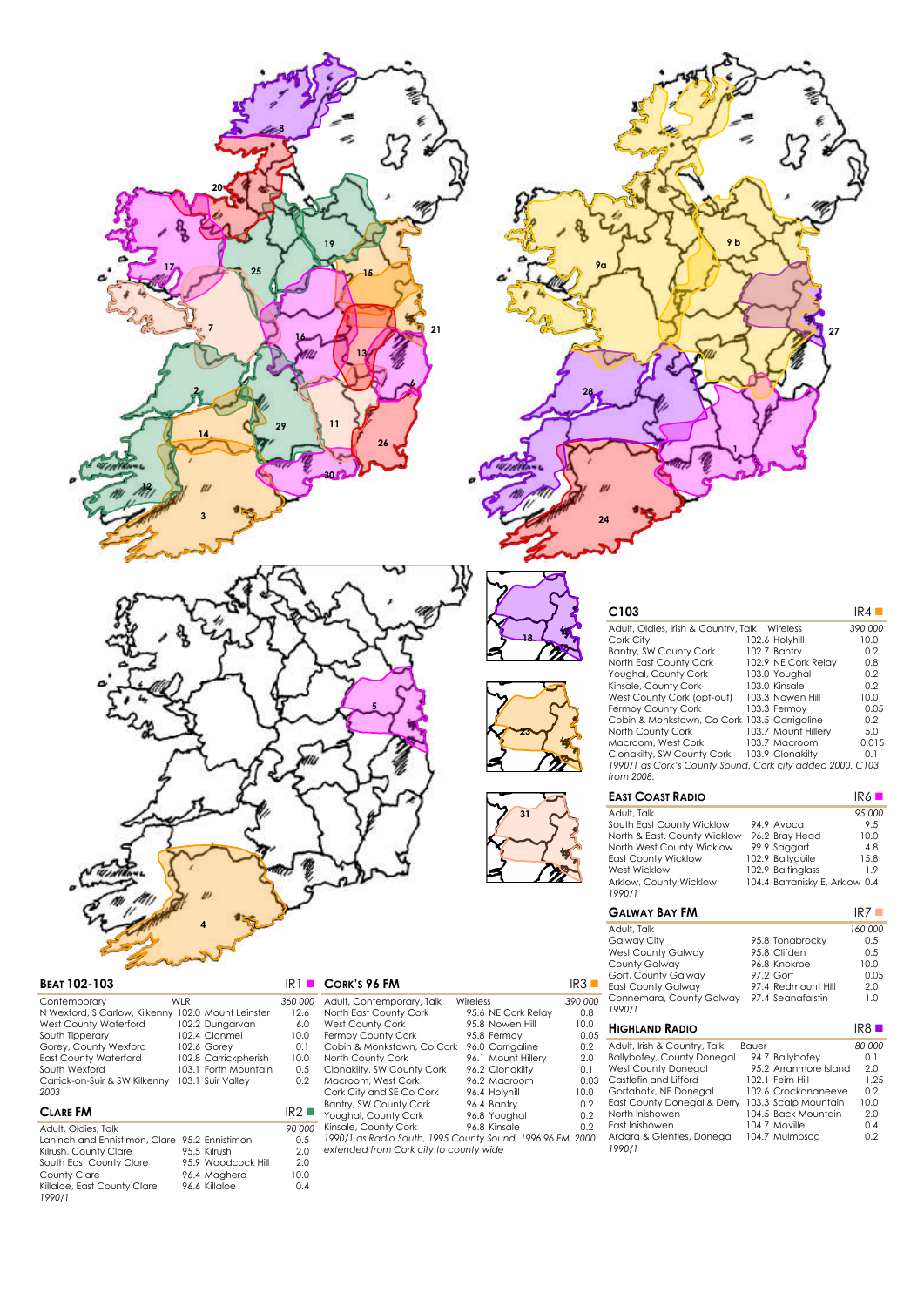



| <b>BEAT 102-103</b> |  |
|---------------------|--|
|                     |  |

| Contemporary                  | WI R |                      | 360,000    |
|-------------------------------|------|----------------------|------------|
| N Wexford, S Carlow, Kilkenny |      | 102.0 Mount Leinster | 12.6       |
| West County Waterford         |      | 102.2 Dungarvan      | 6.0        |
| South Tipperary               |      | 102.4 Clonmel        | 10.0       |
| Gorey, County Wexford         |      | 102.6 Gorev          | $\Omega$ 1 |
| <b>East County Waterford</b>  |      | 102.8 Carrickpherish | 10.0       |
| South Wexford                 |      | 103.1 Forth Mountain | 0.5        |
| Carrick-on-Suir & SW Kilkenny |      | 103.1 Suir Vallev    | 02         |
| 2003                          |      |                      |            |

## $CLARE FM$

| Adult, Oldies, Talk                           |                    | 90 000 |
|-----------------------------------------------|--------------------|--------|
| Lahinch and Ennistimon, Clare 95.2 Ennistimon |                    | 0.5    |
| Kilrush, County Clare                         | 95.5 Kilrush       | 2.0    |
| South East County Clare                       | 95.9 Woodcock Hill | 2.0    |
| County Clare                                  | 96.4 Maghera       | 10.0   |
| Killaloe, East County Clare                   | 96.6 Killaloe      | 0.4    |
| 1990/1                                        |                    |        |

| CORK'S 96 FM |  |
|--------------|--|
|              |  |

| Adult, Contemporary, Talk                                  | Wireless           | 390 000 |
|------------------------------------------------------------|--------------------|---------|
| North East County Cork                                     | 95.6 NE Cork Relay | 0.8     |
| West County Cork                                           | 95.8 Nowen Hill    | 10.0    |
| Fermoy County Cork                                         | 95.8 Fermoy        | 0.05    |
| Cobin & Monkstown, Co Cork                                 | 96.0 Carrigaline   | 0.2     |
| North County Cork                                          | 96.1 Mount Hillery | 2.0     |
| Clonakilty, SW County Cork                                 | 96.2 Clonakilty    | 0.1     |
| Macroom, West Cork                                         | 96.2 Macroom       | 0.03    |
| Cork City and SE Co Cork                                   | 96.4 Holyhill      | 10.0    |
| Bantry, SW County Cork                                     | 96.4 Bantry        | 0.2     |
| Youghal, County Cork                                       | 96.8 Youghal       | 0.2     |
| Kinsale, County Cork                                       | 96.8 Kinsale       | 0.2     |
| 1990/1 as Radio South, 1995 County Sound, 1996 96 FM, 2000 |                    |         |
|                                                            |                    |         |

**18**

**24**

**23**

**31**

*1990/1 as Radio South, 1995 County Sound, 1996 96 FM, 2000 extended from Cork city to county wide*

|    | 9b              |
|----|-----------------|
| 9α |                 |
|    | $\overline{27}$ |
| 28 |                 |
|    |                 |

| C <sub>103</sub>                                                        |                     | IR4     |
|-------------------------------------------------------------------------|---------------------|---------|
| Adult, Oldies, Irish & Country, Talk                                    | Wireless            | 390 000 |
| Cork City                                                               | 102.6 Holyhill      | 10.0    |
| Bantry, SW County Cork                                                  | 102.7 Bantry        | 0.2     |
| North East County Cork                                                  | 102.9 NE Cork Relay | 0.8     |
| Youghal, County Cork                                                    | 103.0 Youghal       | 0.2     |
| Kinsale, County Cork                                                    | 103.0 Kinsale       | 0.2     |
| West County Cork (opt-out)                                              | 103.3 Nowen Hill    | 10.0    |
| Fermov County Cork                                                      | 103.3 Fermov        | 0.05    |
| Cobin & Monkstown, Co Cork 103.5 Carrigaline                            |                     | 0.2     |
| North County Cork                                                       | 103.7 Mount Hillerv | 5.0     |
| Macroom, West Cork                                                      | 103.7 Macroom       | 0.015   |
| Clonakilty, SW County Cork                                              | 103.9 Clonakilty    | 0.1     |
| 1990/1 as Cork's County Sound. Cork city added 2000. C103<br>from 2008. |                     |         |

| <b>EAST COAST RADIO</b>          |                                | IR6    |
|----------------------------------|--------------------------------|--------|
| Adult, Talk                      |                                | 95 000 |
| South East County Wicklow        | 94.9 Avoca                     | 9.5    |
| North & East. County Wicklow     | 96.2 Bray Head                 | 10.0   |
| North West County Wicklow        | 99.9 Saggart                   | 4.8    |
| <b>East County Wicklow</b>       | 102.9 Ballyguile               | 15.8   |
| West Wicklow                     | 102.9 Baltinalass              | 19     |
| Arklow, County Wicklow<br>1990/1 | 104.4 Barranisky E. Arklow 0.4 |        |

| <b>GALWAY BAY FM</b>                                                                                                                                                                                                                            |       |                                                                                                                                                                       | IR7                                                              |
|-------------------------------------------------------------------------------------------------------------------------------------------------------------------------------------------------------------------------------------------------|-------|-----------------------------------------------------------------------------------------------------------------------------------------------------------------------|------------------------------------------------------------------|
| Adult, Talk<br>Galway City<br>West County Galway<br>County Galway<br>Gort, County Galway<br>East County Galway<br>Connemara, County Galway<br>1990/1                                                                                            |       | 95.8 Tonabrocky<br>95.8 Clifden<br>96.8 Knokroe<br>97.2 Gort<br>97.4 Redmount Hill<br>97.4 Seanafaistin                                                               | 160 000<br>0.5<br>0.5<br>10.0<br>0.05<br>2.0<br>1.0              |
| <b>HIGHLAND RADIO</b>                                                                                                                                                                                                                           |       |                                                                                                                                                                       | $IR8$ $\blacksquare$                                             |
| Adult, Irish & Country, Talk<br>Ballybofey, County Donegal<br>West County Donegal<br>Castlefin and Lifford<br>Gortahotk, NE Donegal<br>East County Donegal & Derry<br>North Inishowen<br>Fast Inishowen<br>Ardara & Glenties, Donegal<br>1990/1 | Bauer | 94.7 Ballybofey<br>95.2 Arranmore Island<br>102.1 Feirn Hill<br>102.6 Crockananeeve<br>103.3 Scalp Mountain<br>104.5 Back Mountain<br>104.7 Moville<br>104.7 Mulmosog | 80 000<br>0.1<br>2.0<br>1.25<br>0.2<br>10.0<br>2.0<br>0.4<br>0.2 |